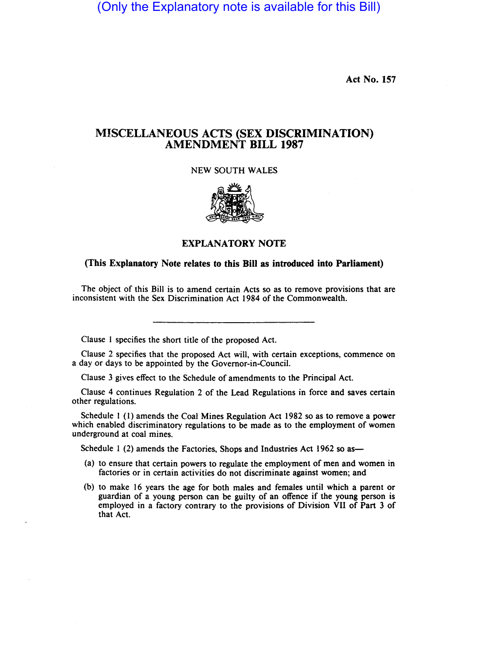(Only the Explanatory note is available for this Bill)

Act No. 157

## MISCELLANEOUS ACTS (SEX DISCRIMINATION) AMENDMENT BILL 1987

NEW SOUTH WALES



EXPLANATORY NOTE

## (This Explanatory Note relates to this Bill as introduced into Parliament)

The object of this Bill is to amend certain Acts so as to remove provisions that are inconsistent with the Sex Discrimination Act 1984 of the Commonwealth.

Clause I specifies the short title of the proposed Act.

Clause 2 specifies that the proposed Act will, with certain exceptions, commence on a day or days to be appointed by the Governor-in-Council.

Clause 3 gives effect to the Schedule of amendments to the Principal Act.

Clause 4 continues Regulation 2 of the Lead Regulations in force and saves certain other regulations.

Schedule I (I) amends the Coal Mines Regulation Act 1982 so as to remove a power which enabled discriminatory regulations to be made as to the employment of women underground at coal mines.

Schedule 1 (2) amends the Factories, Shops and Industries Act 1962 so as-

- (a) to ensure that certain powers to regulate the employment of men and women in factories or in certain activities do not discriminate against women; and
- (b) to make 16 years the age for both males and females until which a parent or guardian of a young person can be guilty of an offence if the young person is employed in a factory contrary to the provisions of Division VII of Part 3 of that Act.